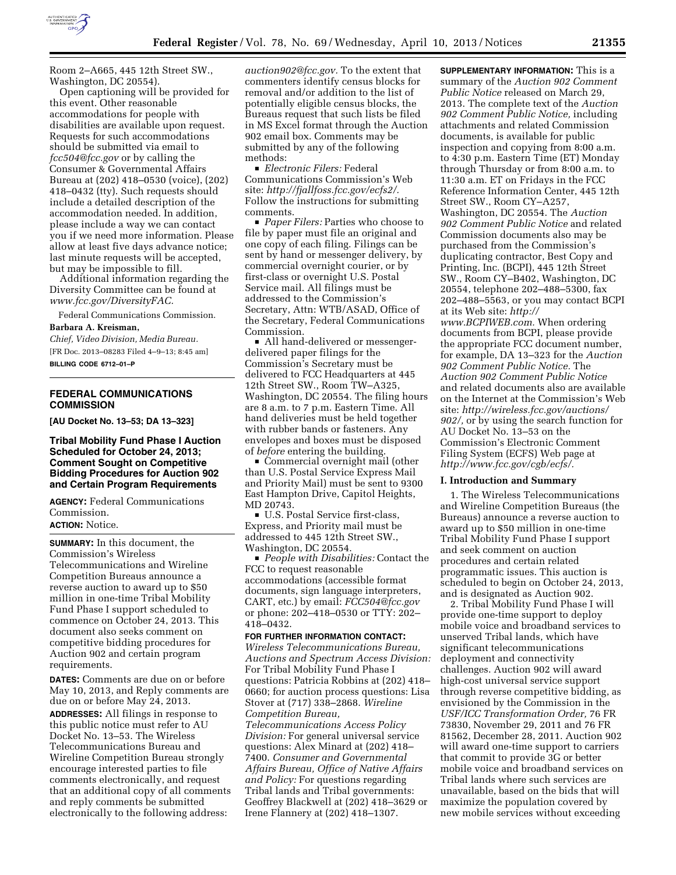

Room 2–A665, 445 12th Street SW., Washington, DC 20554).

Open captioning will be provided for this event. Other reasonable accommodations for people with disabilities are available upon request. Requests for such accommodations should be submitted via email to *[fcc504@fcc.gov](mailto:fcc504@fcc.gov)* or by calling the Consumer & Governmental Affairs Bureau at (202) 418–0530 (voice), (202) 418–0432 (tty). Such requests should include a detailed description of the accommodation needed. In addition, please include a way we can contact you if we need more information. Please allow at least five days advance notice; last minute requests will be accepted, but may be impossible to fill.

Additional information regarding the Diversity Committee can be found at *[www.fcc.gov/DiversityFAC.](http://www.fcc.gov/DiversityFAC)* 

Federal Communications Commission.

## **Barbara A. Kreisman,**

*Chief, Video Division, Media Bureau.*  [FR Doc. 2013–08283 Filed 4–9–13; 8:45 am] **BILLING CODE 6712–01–P** 

## **FEDERAL COMMUNICATIONS COMMISSION**

**[AU Docket No. 13–53; DA 13–323]** 

## **Tribal Mobility Fund Phase I Auction Scheduled for October 24, 2013; Comment Sought on Competitive Bidding Procedures for Auction 902 and Certain Program Requirements**

**AGENCY:** Federal Communications Commission.

# **ACTION:** Notice.

**SUMMARY:** In this document, the Commission's Wireless Telecommunications and Wireline Competition Bureaus announce a reverse auction to award up to \$50 million in one-time Tribal Mobility Fund Phase I support scheduled to commence on October 24, 2013. This document also seeks comment on competitive bidding procedures for Auction 902 and certain program requirements.

**DATES:** Comments are due on or before May 10, 2013, and Reply comments are due on or before May 24, 2013. **ADDRESSES:** All filings in response to this public notice must refer to AU Docket No. 13–53. The Wireless Telecommunications Bureau and Wireline Competition Bureau strongly encourage interested parties to file comments electronically, and request that an additional copy of all comments and reply comments be submitted electronically to the following address:

*[auction902@fcc.gov.](mailto:auction902@fcc.gov)* To the extent that commenters identify census blocks for removal and/or addition to the list of potentially eligible census blocks, the Bureaus request that such lists be filed in MS Excel format through the Auction 902 email box. Comments may be submitted by any of the following methods:

**Electronic Filers: Federal** Communications Commission's Web site: *[http://fjallfoss.fcc.gov/ecfs2/.](http://fjallfoss.fcc.gov/ecfs2/)*  Follow the instructions for submitting comments.

■ *Paper Filers:* Parties who choose to file by paper must file an original and one copy of each filing. Filings can be sent by hand or messenger delivery, by commercial overnight courier, or by first-class or overnight U.S. Postal Service mail. All filings must be addressed to the Commission's Secretary, Attn: WTB/ASAD, Office of the Secretary, Federal Communications Commission.

■ All hand-delivered or messengerdelivered paper filings for the Commission's Secretary must be delivered to FCC Headquarters at 445 12th Street SW., Room TW–A325, Washington, DC 20554. The filing hours are 8 a.m. to 7 p.m. Eastern Time. All hand deliveries must be held together with rubber bands or fasteners. Any envelopes and boxes must be disposed of *before* entering the building.

 $\blacksquare$  Commercial overnight mail (other than U.S. Postal Service Express Mail and Priority Mail) must be sent to 9300 East Hampton Drive, Capitol Heights, MD 20743.

■ U.S. Postal Service first-class, Express, and Priority mail must be addressed to 445 12th Street SW., Washington, DC 20554.

**People with Disabilities: Contact the** FCC to request reasonable accommodations (accessible format documents, sign language interpreters, CART, etc.) by email: *[FCC504@fcc.gov](mailto:FCC504@fcc.gov)*  or phone: 202–418–0530 or TTY: 202– 418–0432.

#### **FOR FURTHER INFORMATION CONTACT:**

*Wireless Telecommunications Bureau, Auctions and Spectrum Access Division:*  For Tribal Mobility Fund Phase I questions: Patricia Robbins at (202) 418– 0660; for auction process questions: Lisa Stover at (717) 338–2868. *Wireline Competition Bureau,* 

*Telecommunications Access Policy Division:* For general universal service questions: Alex Minard at (202) 418– 7400. *Consumer and Governmental Affairs Bureau, Office of Native Affairs and Policy:* For questions regarding Tribal lands and Tribal governments: Geoffrey Blackwell at (202) 418–3629 or Irene Flannery at (202) 418–1307.

**SUPPLEMENTARY INFORMATION:** This is a summary of the *Auction 902 Comment Public Notice* released on March 29, 2013. The complete text of the *Auction 902 Comment Public Notice,* including attachments and related Commission documents, is available for public inspection and copying from 8:00 a.m. to 4:30 p.m. Eastern Time (ET) Monday through Thursday or from 8:00 a.m. to 11:30 a.m. ET on Fridays in the FCC Reference Information Center, 445 12th Street SW., Room CY–A257, Washington, DC 20554. The *Auction 902 Comment Public Notice* and related Commission documents also may be purchased from the Commission's duplicating contractor, Best Copy and Printing, Inc. (BCPI), 445 12th Street SW., Room CY–B402, Washington, DC 20554, telephone 202–488–5300, fax 202–488–5563, or you may contact BCPI at its Web site: *[http://](http://www.BCPIWEB.com) [www.BCPIWEB.com.](http://www.BCPIWEB.com)* When ordering documents from BCPI, please provide the appropriate FCC document number, for example, DA 13–323 for the *Auction 902 Comment Public Notice.* The *Auction 902 Comment Public Notice*  and related documents also are available on the Internet at the Commission's Web site: *[http://wireless.fcc.gov/auctions/](http://wireless.fcc.gov/auctions/902/) [902/,](http://wireless.fcc.gov/auctions/902/)* or by using the search function for AU Docket No. 13–53 on the Commission's Electronic Comment Filing System (ECFS) Web page at *[http://www.fcc.gov/cgb/ecfs/.](http://www.fcc.gov/cgb/ecfs/)* 

## **I. Introduction and Summary**

1. The Wireless Telecommunications and Wireline Competition Bureaus (the Bureaus) announce a reverse auction to award up to \$50 million in one-time Tribal Mobility Fund Phase I support and seek comment on auction procedures and certain related programmatic issues. This auction is scheduled to begin on October 24, 2013, and is designated as Auction 902.

2. Tribal Mobility Fund Phase I will provide one-time support to deploy mobile voice and broadband services to unserved Tribal lands, which have significant telecommunications deployment and connectivity challenges. Auction 902 will award high-cost universal service support through reverse competitive bidding, as envisioned by the Commission in the *USF/ICC Transformation Order,* 76 FR 73830, November 29, 2011 and 76 FR 81562, December 28, 2011. Auction 902 will award one-time support to carriers that commit to provide 3G or better mobile voice and broadband services on Tribal lands where such services are unavailable, based on the bids that will maximize the population covered by new mobile services without exceeding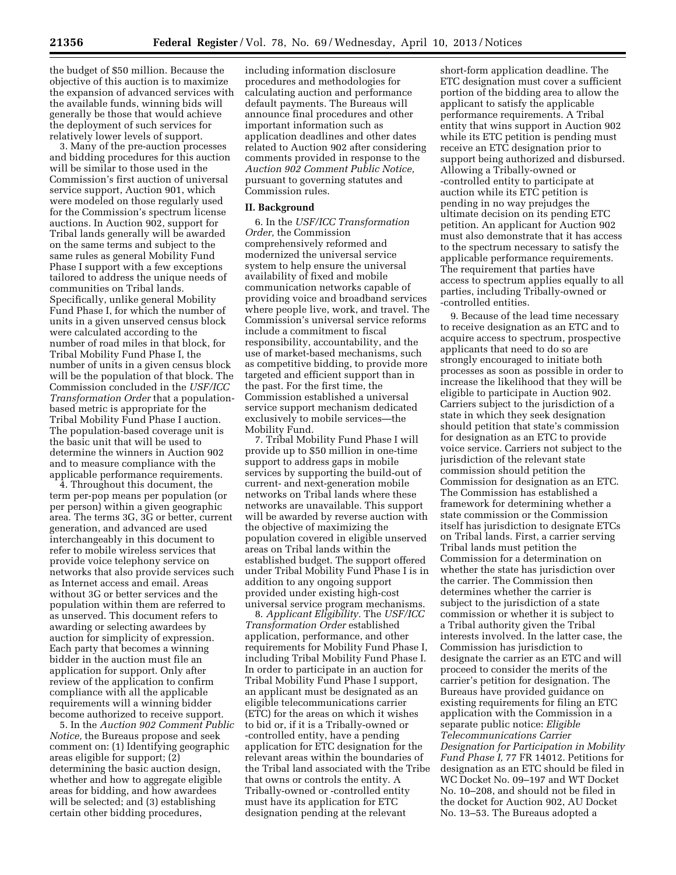the budget of \$50 million. Because the objective of this auction is to maximize the expansion of advanced services with the available funds, winning bids will generally be those that would achieve the deployment of such services for relatively lower levels of support.

3. Many of the pre-auction processes and bidding procedures for this auction will be similar to those used in the Commission's first auction of universal service support, Auction 901, which were modeled on those regularly used for the Commission's spectrum license auctions. In Auction 902, support for Tribal lands generally will be awarded on the same terms and subject to the same rules as general Mobility Fund Phase I support with a few exceptions tailored to address the unique needs of communities on Tribal lands. Specifically, unlike general Mobility Fund Phase I, for which the number of units in a given unserved census block were calculated according to the number of road miles in that block, for Tribal Mobility Fund Phase I, the number of units in a given census block will be the population of that block. The Commission concluded in the *USF/ICC Transformation Order* that a populationbased metric is appropriate for the Tribal Mobility Fund Phase I auction. The population-based coverage unit is the basic unit that will be used to determine the winners in Auction 902 and to measure compliance with the applicable performance requirements.

4. Throughout this document, the term per-pop means per population (or per person) within a given geographic area. The terms 3G, 3G or better, current generation, and advanced are used interchangeably in this document to refer to mobile wireless services that provide voice telephony service on networks that also provide services such as Internet access and email. Areas without 3G or better services and the population within them are referred to as unserved. This document refers to awarding or selecting awardees by auction for simplicity of expression. Each party that becomes a winning bidder in the auction must file an application for support. Only after review of the application to confirm compliance with all the applicable requirements will a winning bidder become authorized to receive support.

5. In the *Auction 902 Comment Public Notice,* the Bureaus propose and seek comment on: (1) Identifying geographic areas eligible for support; (2) determining the basic auction design, whether and how to aggregate eligible areas for bidding, and how awardees will be selected; and (3) establishing certain other bidding procedures,

including information disclosure procedures and methodologies for calculating auction and performance default payments. The Bureaus will announce final procedures and other important information such as application deadlines and other dates related to Auction 902 after considering comments provided in response to the *Auction 902 Comment Public Notice,*  pursuant to governing statutes and Commission rules.

#### **II. Background**

6. In the *USF/ICC Transformation Order,* the Commission comprehensively reformed and modernized the universal service system to help ensure the universal availability of fixed and mobile communication networks capable of providing voice and broadband services where people live, work, and travel. The Commission's universal service reforms include a commitment to fiscal responsibility, accountability, and the use of market-based mechanisms, such as competitive bidding, to provide more targeted and efficient support than in the past. For the first time, the Commission established a universal service support mechanism dedicated exclusively to mobile services—the Mobility Fund.

7. Tribal Mobility Fund Phase I will provide up to \$50 million in one-time support to address gaps in mobile services by supporting the build-out of current- and next-generation mobile networks on Tribal lands where these networks are unavailable. This support will be awarded by reverse auction with the objective of maximizing the population covered in eligible unserved areas on Tribal lands within the established budget. The support offered under Tribal Mobility Fund Phase I is in addition to any ongoing support provided under existing high-cost universal service program mechanisms.

8. *Applicant Eligibility.* The *USF/ICC Transformation Order* established application, performance, and other requirements for Mobility Fund Phase I, including Tribal Mobility Fund Phase I. In order to participate in an auction for Tribal Mobility Fund Phase I support, an applicant must be designated as an eligible telecommunications carrier (ETC) for the areas on which it wishes to bid or, if it is a Tribally-owned or -controlled entity, have a pending application for ETC designation for the relevant areas within the boundaries of the Tribal land associated with the Tribe that owns or controls the entity. A Tribally-owned or -controlled entity must have its application for ETC designation pending at the relevant

short-form application deadline. The ETC designation must cover a sufficient portion of the bidding area to allow the applicant to satisfy the applicable performance requirements. A Tribal entity that wins support in Auction 902 while its ETC petition is pending must receive an ETC designation prior to support being authorized and disbursed. Allowing a Tribally-owned or -controlled entity to participate at auction while its ETC petition is pending in no way prejudges the ultimate decision on its pending ETC petition. An applicant for Auction 902 must also demonstrate that it has access to the spectrum necessary to satisfy the applicable performance requirements. The requirement that parties have access to spectrum applies equally to all parties, including Tribally-owned or -controlled entities.

9. Because of the lead time necessary to receive designation as an ETC and to acquire access to spectrum, prospective applicants that need to do so are strongly encouraged to initiate both processes as soon as possible in order to increase the likelihood that they will be eligible to participate in Auction 902. Carriers subject to the jurisdiction of a state in which they seek designation should petition that state's commission for designation as an ETC to provide voice service. Carriers not subject to the jurisdiction of the relevant state commission should petition the Commission for designation as an ETC. The Commission has established a framework for determining whether a state commission or the Commission itself has jurisdiction to designate ETCs on Tribal lands. First, a carrier serving Tribal lands must petition the Commission for a determination on whether the state has jurisdiction over the carrier. The Commission then determines whether the carrier is subject to the jurisdiction of a state commission or whether it is subject to a Tribal authority given the Tribal interests involved. In the latter case, the Commission has jurisdiction to designate the carrier as an ETC and will proceed to consider the merits of the carrier's petition for designation. The Bureaus have provided guidance on existing requirements for filing an ETC application with the Commission in a separate public notice: *Eligible Telecommunications Carrier Designation for Participation in Mobility Fund Phase I,* 77 FR 14012. Petitions for designation as an ETC should be filed in WC Docket No. 09–197 and WT Docket No. 10–208, and should not be filed in the docket for Auction 902, AU Docket No. 13–53. The Bureaus adopted a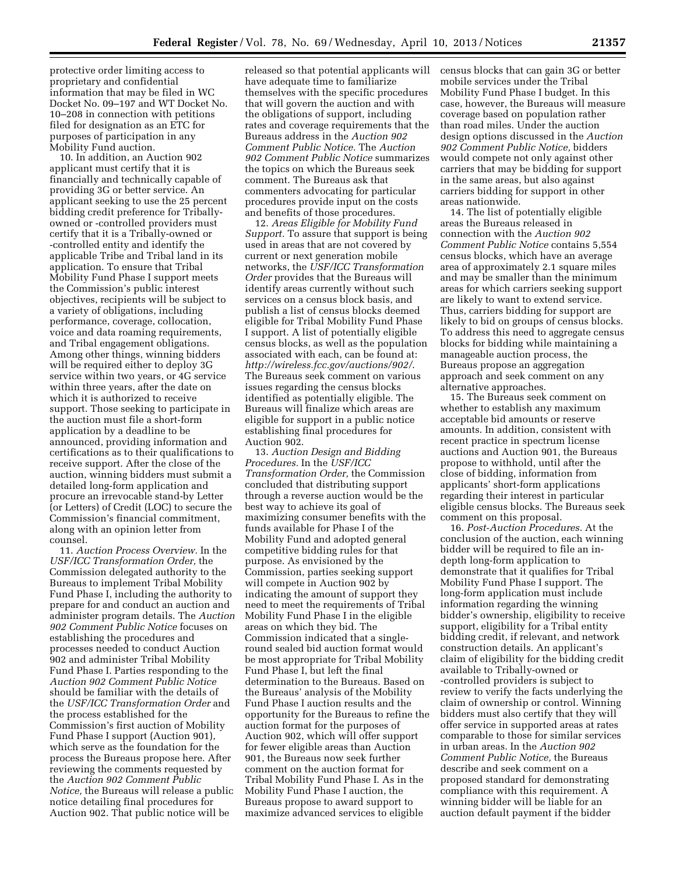protective order limiting access to proprietary and confidential information that may be filed in WC Docket No. 09–197 and WT Docket No. 10–208 in connection with petitions filed for designation as an ETC for purposes of participation in any Mobility Fund auction.

10. In addition, an Auction 902 applicant must certify that it is financially and technically capable of providing 3G or better service. An applicant seeking to use the 25 percent bidding credit preference for Triballyowned or -controlled providers must certify that it is a Tribally-owned or -controlled entity and identify the applicable Tribe and Tribal land in its application. To ensure that Tribal Mobility Fund Phase I support meets the Commission's public interest objectives, recipients will be subject to a variety of obligations, including performance, coverage, collocation, voice and data roaming requirements, and Tribal engagement obligations. Among other things, winning bidders will be required either to deploy 3G service within two years, or 4G service within three years, after the date on which it is authorized to receive support. Those seeking to participate in the auction must file a short-form application by a deadline to be announced, providing information and certifications as to their qualifications to receive support. After the close of the auction, winning bidders must submit a detailed long-form application and procure an irrevocable stand-by Letter (or Letters) of Credit (LOC) to secure the Commission's financial commitment, along with an opinion letter from counsel.

11. *Auction Process Overview.* In the *USF/ICC Transformation Order,* the Commission delegated authority to the Bureaus to implement Tribal Mobility Fund Phase I, including the authority to prepare for and conduct an auction and administer program details. The *Auction 902 Comment Public Notice* focuses on establishing the procedures and processes needed to conduct Auction 902 and administer Tribal Mobility Fund Phase I. Parties responding to the *Auction 902 Comment Public Notice*  should be familiar with the details of the *USF/ICC Transformation Order* and the process established for the Commission's first auction of Mobility Fund Phase I support (Auction 901), which serve as the foundation for the process the Bureaus propose here. After reviewing the comments requested by the *Auction 902 Comment Public Notice,* the Bureaus will release a public notice detailing final procedures for Auction 902. That public notice will be

released so that potential applicants will have adequate time to familiarize themselves with the specific procedures that will govern the auction and with the obligations of support, including rates and coverage requirements that the Bureaus address in the *Auction 902 Comment Public Notice.* The *Auction 902 Comment Public Notice* summarizes the topics on which the Bureaus seek comment. The Bureaus ask that commenters advocating for particular procedures provide input on the costs and benefits of those procedures.

12. *Areas Eligible for Mobility Fund Support.* To assure that support is being used in areas that are not covered by current or next generation mobile networks, the *USF/ICC Transformation Order* provides that the Bureaus will identify areas currently without such services on a census block basis, and publish a list of census blocks deemed eligible for Tribal Mobility Fund Phase I support. A list of potentially eligible census blocks, as well as the population associated with each, can be found at: *<http://wireless.fcc.gov/auctions/902/>*. The Bureaus seek comment on various issues regarding the census blocks identified as potentially eligible. The Bureaus will finalize which areas are eligible for support in a public notice establishing final procedures for Auction 902.

13. *Auction Design and Bidding Procedures.* In the *USF/ICC Transformation Order,* the Commission concluded that distributing support through a reverse auction would be the best way to achieve its goal of maximizing consumer benefits with the funds available for Phase I of the Mobility Fund and adopted general competitive bidding rules for that purpose. As envisioned by the Commission, parties seeking support will compete in Auction 902 by indicating the amount of support they need to meet the requirements of Tribal Mobility Fund Phase I in the eligible areas on which they bid. The Commission indicated that a singleround sealed bid auction format would be most appropriate for Tribal Mobility Fund Phase I, but left the final determination to the Bureaus. Based on the Bureaus' analysis of the Mobility Fund Phase I auction results and the opportunity for the Bureaus to refine the auction format for the purposes of Auction 902, which will offer support for fewer eligible areas than Auction 901, the Bureaus now seek further comment on the auction format for Tribal Mobility Fund Phase I. As in the Mobility Fund Phase I auction, the Bureaus propose to award support to maximize advanced services to eligible

census blocks that can gain 3G or better mobile services under the Tribal Mobility Fund Phase I budget. In this case, however, the Bureaus will measure coverage based on population rather than road miles. Under the auction design options discussed in the *Auction 902 Comment Public Notice,* bidders would compete not only against other carriers that may be bidding for support in the same areas, but also against carriers bidding for support in other areas nationwide.

14. The list of potentially eligible areas the Bureaus released in connection with the *Auction 902 Comment Public Notice* contains 5,554 census blocks, which have an average area of approximately 2.1 square miles and may be smaller than the minimum areas for which carriers seeking support are likely to want to extend service. Thus, carriers bidding for support are likely to bid on groups of census blocks. To address this need to aggregate census blocks for bidding while maintaining a manageable auction process, the Bureaus propose an aggregation approach and seek comment on any alternative approaches.

15. The Bureaus seek comment on whether to establish any maximum acceptable bid amounts or reserve amounts. In addition, consistent with recent practice in spectrum license auctions and Auction 901, the Bureaus propose to withhold, until after the close of bidding, information from applicants' short-form applications regarding their interest in particular eligible census blocks. The Bureaus seek comment on this proposal.

16. *Post-Auction Procedures.* At the conclusion of the auction, each winning bidder will be required to file an indepth long-form application to demonstrate that it qualifies for Tribal Mobility Fund Phase I support. The long-form application must include information regarding the winning bidder's ownership, eligibility to receive support, eligibility for a Tribal entity bidding credit, if relevant, and network construction details. An applicant's claim of eligibility for the bidding credit available to Tribally-owned or -controlled providers is subject to review to verify the facts underlying the claim of ownership or control. Winning bidders must also certify that they will offer service in supported areas at rates comparable to those for similar services in urban areas. In the *Auction 902 Comment Public Notice,* the Bureaus describe and seek comment on a proposed standard for demonstrating compliance with this requirement. A winning bidder will be liable for an auction default payment if the bidder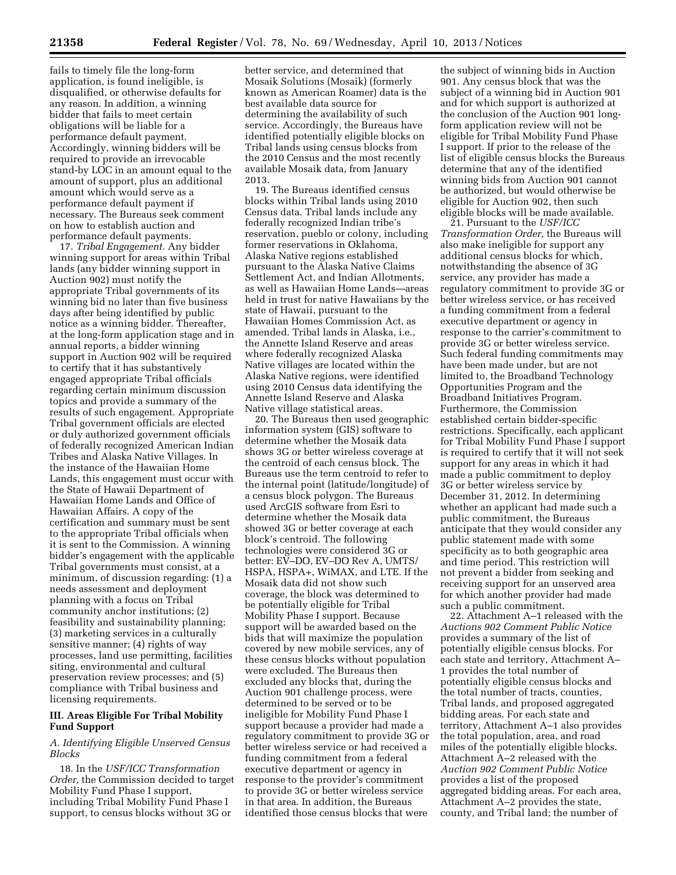fails to timely file the long-form application, is found ineligible, is disqualified, or otherwise defaults for any reason. In addition, a winning bidder that fails to meet certain obligations will be liable for a performance default payment. Accordingly, winning bidders will be required to provide an irrevocable stand-by LOC in an amount equal to the amount of support, plus an additional amount which would serve as a performance default payment if necessary. The Bureaus seek comment on how to establish auction and performance default payments.

17. *Tribal Engagement.* Any bidder winning support for areas within Tribal lands (any bidder winning support in Auction 902) must notify the appropriate Tribal governments of its winning bid no later than five business days after being identified by public notice as a winning bidder. Thereafter, at the long-form application stage and in annual reports, a bidder winning support in Auction 902 will be required to certify that it has substantively engaged appropriate Tribal officials regarding certain minimum discussion topics and provide a summary of the results of such engagement. Appropriate Tribal government officials are elected or duly authorized government officials of federally recognized American Indian Tribes and Alaska Native Villages. In the instance of the Hawaiian Home Lands, this engagement must occur with the State of Hawaii Department of Hawaiian Home Lands and Office of Hawaiian Affairs. A copy of the certification and summary must be sent to the appropriate Tribal officials when it is sent to the Commission. A winning bidder's engagement with the applicable Tribal governments must consist, at a minimum, of discussion regarding: (1) a needs assessment and deployment planning with a focus on Tribal community anchor institutions; (2) feasibility and sustainability planning; (3) marketing services in a culturally sensitive manner; (4) rights of way processes, land use permitting, facilities siting, environmental and cultural preservation review processes; and (5) compliance with Tribal business and licensing requirements.

## **III. Areas Eligible For Tribal Mobility Fund Support**

## *A. Identifying Eligible Unserved Census Blocks*

18. In the *USF/ICC Transformation Order,* the Commission decided to target Mobility Fund Phase I support, including Tribal Mobility Fund Phase I support, to census blocks without 3G or

better service, and determined that Mosaik Solutions (Mosaik) (formerly known as American Roamer) data is the best available data source for determining the availability of such service. Accordingly, the Bureaus have identified potentially eligible blocks on Tribal lands using census blocks from the 2010 Census and the most recently available Mosaik data, from January 2013.

19. The Bureaus identified census blocks within Tribal lands using 2010 Census data. Tribal lands include any federally recognized Indian tribe's reservation, pueblo or colony, including former reservations in Oklahoma, Alaska Native regions established pursuant to the Alaska Native Claims Settlement Act, and Indian Allotments, as well as Hawaiian Home Lands—areas held in trust for native Hawaiians by the state of Hawaii, pursuant to the Hawaiian Homes Commission Act, as amended. Tribal lands in Alaska, i.e., the Annette Island Reserve and areas where federally recognized Alaska Native villages are located within the Alaska Native regions, were identified using 2010 Census data identifying the Annette Island Reserve and Alaska Native village statistical areas.

20. The Bureaus then used geographic information system (GIS) software to determine whether the Mosaik data shows 3G or better wireless coverage at the centroid of each census block. The Bureaus use the term centroid to refer to the internal point (latitude/longitude) of a census block polygon. The Bureaus used ArcGIS software from Esri to determine whether the Mosaik data showed 3G or better coverage at each block's centroid. The following technologies were considered 3G or better: EV–DO, EV–DO Rev A, UMTS/ HSPA, HSPA+, WiMAX, and LTE. If the Mosaik data did not show such coverage, the block was determined to be potentially eligible for Tribal Mobility Phase I support. Because support will be awarded based on the bids that will maximize the population covered by new mobile services, any of these census blocks without population were excluded. The Bureaus then excluded any blocks that, during the Auction 901 challenge process, were determined to be served or to be ineligible for Mobility Fund Phase I support because a provider had made a regulatory commitment to provide 3G or better wireless service or had received a funding commitment from a federal executive department or agency in response to the provider's commitment to provide 3G or better wireless service in that area. In addition, the Bureaus identified those census blocks that were

the subject of winning bids in Auction 901. Any census block that was the subject of a winning bid in Auction 901 and for which support is authorized at the conclusion of the Auction 901 longform application review will not be eligible for Tribal Mobility Fund Phase I support. If prior to the release of the list of eligible census blocks the Bureaus determine that any of the identified winning bids from Auction 901 cannot be authorized, but would otherwise be eligible for Auction 902, then such eligible blocks will be made available.

21. Pursuant to the *USF/ICC Transformation Order,* the Bureaus will also make ineligible for support any additional census blocks for which, notwithstanding the absence of 3G service, any provider has made a regulatory commitment to provide 3G or better wireless service, or has received a funding commitment from a federal executive department or agency in response to the carrier's commitment to provide 3G or better wireless service. Such federal funding commitments may have been made under, but are not limited to, the Broadband Technology Opportunities Program and the Broadband Initiatives Program. Furthermore, the Commission established certain bidder-specific restrictions. Specifically, each applicant for Tribal Mobility Fund Phase I support is required to certify that it will not seek support for any areas in which it had made a public commitment to deploy 3G or better wireless service by December 31, 2012. In determining whether an applicant had made such a public commitment, the Bureaus anticipate that they would consider any public statement made with some specificity as to both geographic area and time period. This restriction will not prevent a bidder from seeking and receiving support for an unserved area for which another provider had made such a public commitment.

22. Attachment A–1 released with the *Auctions 902 Comment Public Notice*  provides a summary of the list of potentially eligible census blocks. For each state and territory, Attachment A– 1 provides the total number of potentially eligible census blocks and the total number of tracts, counties, Tribal lands, and proposed aggregated bidding areas. For each state and territory, Attachment A–1 also provides the total population, area, and road miles of the potentially eligible blocks. Attachment A–2 released with the *Auction 902 Comment Public Notice*  provides a list of the proposed aggregated bidding areas. For each area, Attachment A–2 provides the state, county, and Tribal land; the number of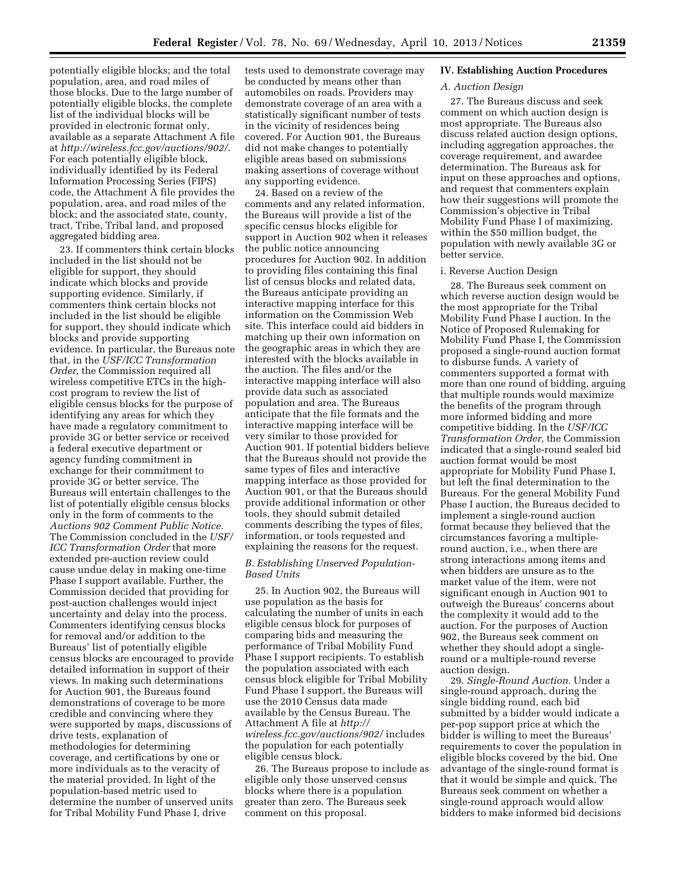potentially eligible blocks; and the total population, area, and road miles of those blocks. Due to the large number of potentially eligible blocks, the complete list of the individual blocks will be provided in electronic format only, available as a separate Attachment A file at *<http://wireless.fcc.gov/auctions/902/>*. For each potentially eligible block, individually identified by its Federal Information Processing Series (FIPS) code, the Attachment A file provides the population, area, and road miles of the block; and the associated state, county, tract, Tribe, Tribal land, and proposed aggregated bidding area.

23. If commenters think certain blocks included in the list should not be eligible for support, they should indicate which blocks and provide supporting evidence. Similarly, if commenters think certain blocks not included in the list should be eligible for support, they should indicate which blocks and provide supporting evidence. In particular, the Bureaus note that, in the *USF/ICC Transformation Order,* the Commission required all wireless competitive ETCs in the highcost program to review the list of eligible census blocks for the purpose of identifying any areas for which they have made a regulatory commitment to provide 3G or better service or received a federal executive department or agency funding commitment in exchange for their commitment to provide 3G or better service. The Bureaus will entertain challenges to the list of potentially eligible census blocks only in the form of comments to the *Auctions 902 Comment Public Notice.*  The Commission concluded in the *USF/ ICC Transformation Order* that more extended pre-auction review could cause undue delay in making one-time Phase I support available. Further, the Commission decided that providing for post-auction challenges would inject uncertainty and delay into the process. Commenters identifying census blocks for removal and/or addition to the Bureaus' list of potentially eligible census blocks are encouraged to provide detailed information in support of their views. In making such determinations for Auction 901, the Bureaus found demonstrations of coverage to be more credible and convincing where they were supported by maps, discussions of drive tests, explanation of methodologies for determining coverage, and certifications by one or more individuals as to the veracity of the material provided. In light of the population-based metric used to determine the number of unserved units for Tribal Mobility Fund Phase I, drive

tests used to demonstrate coverage may be conducted by means other than automobiles on roads. Providers may demonstrate coverage of an area with a statistically significant number of tests in the vicinity of residences being covered. For Auction 901, the Bureaus did not make changes to potentially eligible areas based on submissions making assertions of coverage without any supporting evidence.

24. Based on a review of the comments and any related information, the Bureaus will provide a list of the specific census blocks eligible for support in Auction 902 when it releases the public notice announcing procedures for Auction 902. In addition to providing files containing this final list of census blocks and related data, the Bureaus anticipate providing an interactive mapping interface for this information on the Commission Web site. This interface could aid bidders in matching up their own information on the geographic areas in which they are interested with the blocks available in the auction. The files and/or the interactive mapping interface will also provide data such as associated population and area. The Bureaus anticipate that the file formats and the interactive mapping interface will be very similar to those provided for Auction 901. If potential bidders believe that the Bureaus should not provide the same types of files and interactive mapping interface as those provided for Auction 901, or that the Bureaus should provide additional information or other tools, they should submit detailed comments describing the types of files, information, or tools requested and explaining the reasons for the request.

## *B. Establishing Unserved Population-Based Units*

25. In Auction 902, the Bureaus will use population as the basis for calculating the number of units in each eligible census block for purposes of comparing bids and measuring the performance of Tribal Mobility Fund Phase I support recipients. To establish the population associated with each census block eligible for Tribal Mobility Fund Phase I support, the Bureaus will use the 2010 Census data made available by the Census Bureau. The Attachment A file at *[http://](http://wireless.fcc.gov/auctions/902/)  [wireless.fcc.gov/auctions/902/](http://wireless.fcc.gov/auctions/902/)* includes the population for each potentially eligible census block.

26. The Bureaus propose to include as eligible only those unserved census blocks where there is a population greater than zero. The Bureaus seek comment on this proposal.

## **IV. Establishing Auction Procedures**

## *A. Auction Design*

27. The Bureaus discuss and seek comment on which auction design is most appropriate. The Bureaus also discuss related auction design options, including aggregation approaches, the coverage requirement, and awardee determination. The Bureaus ask for input on these approaches and options, and request that commenters explain how their suggestions will promote the Commission's objective in Tribal Mobility Fund Phase I of maximizing, within the \$50 million budget, the population with newly available 3G or better service.

## i. Reverse Auction Design

28. The Bureaus seek comment on which reverse auction design would be the most appropriate for the Tribal Mobility Fund Phase I auction. In the Notice of Proposed Rulemaking for Mobility Fund Phase I, the Commission proposed a single-round auction format to disburse funds. A variety of commenters supported a format with more than one round of bidding, arguing that multiple rounds would maximize the benefits of the program through more informed bidding and more competitive bidding. In the *USF/ICC Transformation Order,* the Commission indicated that a single-round sealed bid auction format would be most appropriate for Mobility Fund Phase I, but left the final determination to the Bureaus. For the general Mobility Fund Phase I auction, the Bureaus decided to implement a single-round auction format because they believed that the circumstances favoring a multipleround auction, i.e., when there are strong interactions among items and when bidders are unsure as to the market value of the item, were not significant enough in Auction 901 to outweigh the Bureaus' concerns about the complexity it would add to the auction. For the purposes of Auction 902, the Bureaus seek comment on whether they should adopt a singleround or a multiple-round reverse auction design.

29. *Single-Round Auction.* Under a single-round approach, during the single bidding round, each bid submitted by a bidder would indicate a per-pop support price at which the bidder is willing to meet the Bureaus' requirements to cover the population in eligible blocks covered by the bid. One advantage of the single-round format is that it would be simple and quick. The Bureaus seek comment on whether a single-round approach would allow bidders to make informed bid decisions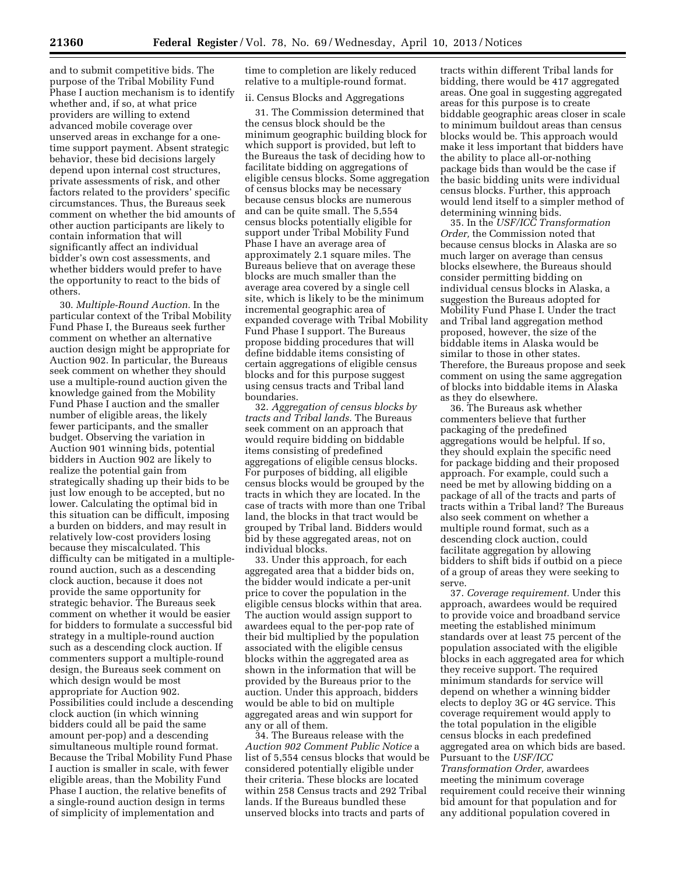and to submit competitive bids. The purpose of the Tribal Mobility Fund Phase I auction mechanism is to identify whether and, if so, at what price providers are willing to extend advanced mobile coverage over unserved areas in exchange for a onetime support payment. Absent strategic behavior, these bid decisions largely depend upon internal cost structures, private assessments of risk, and other factors related to the providers' specific circumstances. Thus, the Bureaus seek comment on whether the bid amounts of other auction participants are likely to contain information that will significantly affect an individual bidder's own cost assessments, and whether bidders would prefer to have the opportunity to react to the bids of others.

30. *Multiple-Round Auction.* In the particular context of the Tribal Mobility Fund Phase I, the Bureaus seek further comment on whether an alternative auction design might be appropriate for Auction 902. In particular, the Bureaus seek comment on whether they should use a multiple-round auction given the knowledge gained from the Mobility Fund Phase I auction and the smaller number of eligible areas, the likely fewer participants, and the smaller budget. Observing the variation in Auction 901 winning bids, potential bidders in Auction 902 are likely to realize the potential gain from strategically shading up their bids to be just low enough to be accepted, but no lower. Calculating the optimal bid in this situation can be difficult, imposing a burden on bidders, and may result in relatively low-cost providers losing because they miscalculated. This difficulty can be mitigated in a multipleround auction, such as a descending clock auction, because it does not provide the same opportunity for strategic behavior. The Bureaus seek comment on whether it would be easier for bidders to formulate a successful bid strategy in a multiple-round auction such as a descending clock auction. If commenters support a multiple-round design, the Bureaus seek comment on which design would be most appropriate for Auction 902. Possibilities could include a descending clock auction (in which winning bidders could all be paid the same amount per-pop) and a descending simultaneous multiple round format. Because the Tribal Mobility Fund Phase I auction is smaller in scale, with fewer eligible areas, than the Mobility Fund Phase I auction, the relative benefits of a single-round auction design in terms of simplicity of implementation and

time to completion are likely reduced relative to a multiple-round format.

## ii. Census Blocks and Aggregations

31. The Commission determined that the census block should be the minimum geographic building block for which support is provided, but left to the Bureaus the task of deciding how to facilitate bidding on aggregations of eligible census blocks. Some aggregation of census blocks may be necessary because census blocks are numerous and can be quite small. The 5,554 census blocks potentially eligible for support under Tribal Mobility Fund Phase I have an average area of approximately 2.1 square miles. The Bureaus believe that on average these blocks are much smaller than the average area covered by a single cell site, which is likely to be the minimum incremental geographic area of expanded coverage with Tribal Mobility Fund Phase I support. The Bureaus propose bidding procedures that will define biddable items consisting of certain aggregations of eligible census blocks and for this purpose suggest using census tracts and Tribal land boundaries.

32. *Aggregation of census blocks by tracts and Tribal lands.* The Bureaus seek comment on an approach that would require bidding on biddable items consisting of predefined aggregations of eligible census blocks. For purposes of bidding, all eligible census blocks would be grouped by the tracts in which they are located. In the case of tracts with more than one Tribal land, the blocks in that tract would be grouped by Tribal land. Bidders would bid by these aggregated areas, not on individual blocks.

33. Under this approach, for each aggregated area that a bidder bids on, the bidder would indicate a per-unit price to cover the population in the eligible census blocks within that area. The auction would assign support to awardees equal to the per-pop rate of their bid multiplied by the population associated with the eligible census blocks within the aggregated area as shown in the information that will be provided by the Bureaus prior to the auction. Under this approach, bidders would be able to bid on multiple aggregated areas and win support for any or all of them.

34. The Bureaus release with the *Auction 902 Comment Public Notice* a list of 5,554 census blocks that would be considered potentially eligible under their criteria. These blocks are located within 258 Census tracts and 292 Tribal lands. If the Bureaus bundled these unserved blocks into tracts and parts of

tracts within different Tribal lands for bidding, there would be 417 aggregated areas. One goal in suggesting aggregated areas for this purpose is to create biddable geographic areas closer in scale to minimum buildout areas than census blocks would be. This approach would make it less important that bidders have the ability to place all-or-nothing package bids than would be the case if the basic bidding units were individual census blocks. Further, this approach would lend itself to a simpler method of determining winning bids.

35. In the *USF/ICC Transformation Order,* the Commission noted that because census blocks in Alaska are so much larger on average than census blocks elsewhere, the Bureaus should consider permitting bidding on individual census blocks in Alaska, a suggestion the Bureaus adopted for Mobility Fund Phase I. Under the tract and Tribal land aggregation method proposed, however, the size of the biddable items in Alaska would be similar to those in other states. Therefore, the Bureaus propose and seek comment on using the same aggregation of blocks into biddable items in Alaska as they do elsewhere.

36. The Bureaus ask whether commenters believe that further packaging of the predefined aggregations would be helpful. If so, they should explain the specific need for package bidding and their proposed approach. For example, could such a need be met by allowing bidding on a package of all of the tracts and parts of tracts within a Tribal land? The Bureaus also seek comment on whether a multiple round format, such as a descending clock auction, could facilitate aggregation by allowing bidders to shift bids if outbid on a piece of a group of areas they were seeking to serve.

37. *Coverage requirement.* Under this approach, awardees would be required to provide voice and broadband service meeting the established minimum standards over at least 75 percent of the population associated with the eligible blocks in each aggregated area for which they receive support. The required minimum standards for service will depend on whether a winning bidder elects to deploy 3G or 4G service. This coverage requirement would apply to the total population in the eligible census blocks in each predefined aggregated area on which bids are based. Pursuant to the *USF/ICC Transformation Order,* awardees meeting the minimum coverage requirement could receive their winning bid amount for that population and for any additional population covered in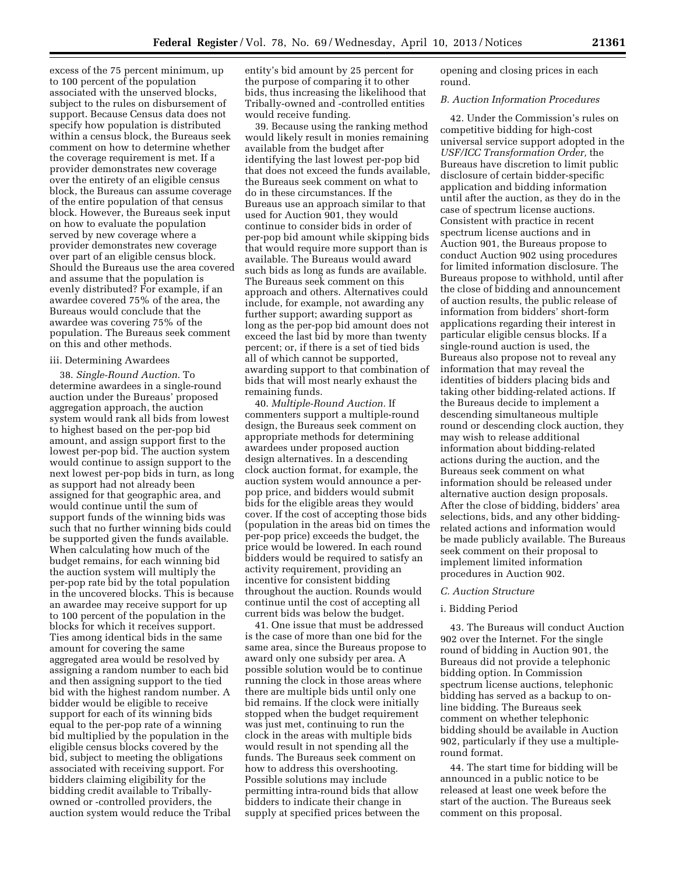excess of the 75 percent minimum, up to 100 percent of the population associated with the unserved blocks, subject to the rules on disbursement of support. Because Census data does not specify how population is distributed within a census block, the Bureaus seek comment on how to determine whether the coverage requirement is met. If a provider demonstrates new coverage over the entirety of an eligible census block, the Bureaus can assume coverage of the entire population of that census block. However, the Bureaus seek input on how to evaluate the population served by new coverage where a provider demonstrates new coverage over part of an eligible census block. Should the Bureaus use the area covered and assume that the population is evenly distributed? For example, if an awardee covered 75% of the area, the Bureaus would conclude that the awardee was covering 75% of the population. The Bureaus seek comment on this and other methods.

#### iii. Determining Awardees

38. *Single-Round Auction.* To determine awardees in a single-round auction under the Bureaus' proposed aggregation approach, the auction system would rank all bids from lowest to highest based on the per-pop bid amount, and assign support first to the lowest per-pop bid. The auction system would continue to assign support to the next lowest per-pop bids in turn, as long as support had not already been assigned for that geographic area, and would continue until the sum of support funds of the winning bids was such that no further winning bids could be supported given the funds available. When calculating how much of the budget remains, for each winning bid the auction system will multiply the per-pop rate bid by the total population in the uncovered blocks. This is because an awardee may receive support for up to 100 percent of the population in the blocks for which it receives support. Ties among identical bids in the same amount for covering the same aggregated area would be resolved by assigning a random number to each bid and then assigning support to the tied bid with the highest random number. A bidder would be eligible to receive support for each of its winning bids equal to the per-pop rate of a winning bid multiplied by the population in the eligible census blocks covered by the bid, subject to meeting the obligations associated with receiving support. For bidders claiming eligibility for the bidding credit available to Triballyowned or -controlled providers, the auction system would reduce the Tribal

entity's bid amount by 25 percent for the purpose of comparing it to other bids, thus increasing the likelihood that Tribally-owned and -controlled entities would receive funding.

39. Because using the ranking method would likely result in monies remaining available from the budget after identifying the last lowest per-pop bid that does not exceed the funds available, the Bureaus seek comment on what to do in these circumstances. If the Bureaus use an approach similar to that used for Auction 901, they would continue to consider bids in order of per-pop bid amount while skipping bids that would require more support than is available. The Bureaus would award such bids as long as funds are available. The Bureaus seek comment on this approach and others. Alternatives could include, for example, not awarding any further support; awarding support as long as the per-pop bid amount does not exceed the last bid by more than twenty percent; or, if there is a set of tied bids all of which cannot be supported, awarding support to that combination of bids that will most nearly exhaust the remaining funds.

40. *Multiple-Round Auction.* If commenters support a multiple-round design, the Bureaus seek comment on appropriate methods for determining awardees under proposed auction design alternatives. In a descending clock auction format, for example, the auction system would announce a perpop price, and bidders would submit bids for the eligible areas they would cover. If the cost of accepting those bids (population in the areas bid on times the per-pop price) exceeds the budget, the price would be lowered. In each round bidders would be required to satisfy an activity requirement, providing an incentive for consistent bidding throughout the auction. Rounds would continue until the cost of accepting all current bids was below the budget.

41. One issue that must be addressed is the case of more than one bid for the same area, since the Bureaus propose to award only one subsidy per area. A possible solution would be to continue running the clock in those areas where there are multiple bids until only one bid remains. If the clock were initially stopped when the budget requirement was just met, continuing to run the clock in the areas with multiple bids would result in not spending all the funds. The Bureaus seek comment on how to address this overshooting. Possible solutions may include permitting intra-round bids that allow bidders to indicate their change in supply at specified prices between the

opening and closing prices in each round.

#### *B. Auction Information Procedures*

42. Under the Commission's rules on competitive bidding for high-cost universal service support adopted in the *USF/ICC Transformation Order,* the Bureaus have discretion to limit public disclosure of certain bidder-specific application and bidding information until after the auction, as they do in the case of spectrum license auctions. Consistent with practice in recent spectrum license auctions and in Auction 901, the Bureaus propose to conduct Auction 902 using procedures for limited information disclosure. The Bureaus propose to withhold, until after the close of bidding and announcement of auction results, the public release of information from bidders' short-form applications regarding their interest in particular eligible census blocks. If a single-round auction is used, the Bureaus also propose not to reveal any information that may reveal the identities of bidders placing bids and taking other bidding-related actions. If the Bureaus decide to implement a descending simultaneous multiple round or descending clock auction, they may wish to release additional information about bidding-related actions during the auction, and the Bureaus seek comment on what information should be released under alternative auction design proposals. After the close of bidding, bidders' area selections, bids, and any other biddingrelated actions and information would be made publicly available. The Bureaus seek comment on their proposal to implement limited information procedures in Auction 902.

#### *C. Auction Structure*

#### i. Bidding Period

43. The Bureaus will conduct Auction 902 over the Internet. For the single round of bidding in Auction 901, the Bureaus did not provide a telephonic bidding option. In Commission spectrum license auctions, telephonic bidding has served as a backup to online bidding. The Bureaus seek comment on whether telephonic bidding should be available in Auction 902, particularly if they use a multipleround format.

44. The start time for bidding will be announced in a public notice to be released at least one week before the start of the auction. The Bureaus seek comment on this proposal.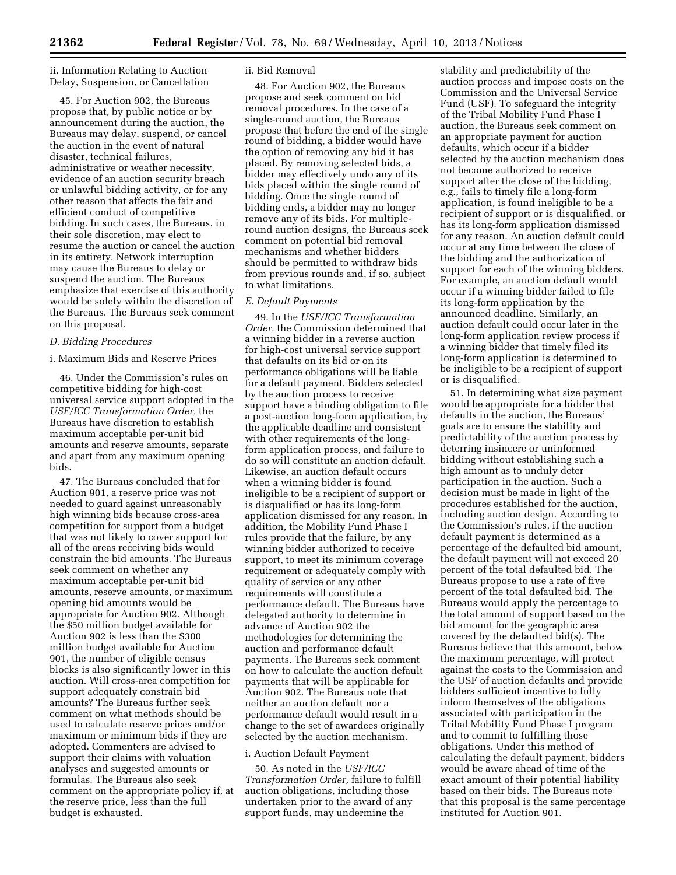ii. Information Relating to Auction Delay, Suspension, or Cancellation

45. For Auction 902, the Bureaus propose that, by public notice or by announcement during the auction, the Bureaus may delay, suspend, or cancel the auction in the event of natural disaster, technical failures, administrative or weather necessity, evidence of an auction security breach or unlawful bidding activity, or for any other reason that affects the fair and efficient conduct of competitive bidding. In such cases, the Bureaus, in their sole discretion, may elect to resume the auction or cancel the auction in its entirety. Network interruption may cause the Bureaus to delay or suspend the auction. The Bureaus emphasize that exercise of this authority would be solely within the discretion of the Bureaus. The Bureaus seek comment on this proposal.

## *D. Bidding Procedures*

## i. Maximum Bids and Reserve Prices

46. Under the Commission's rules on competitive bidding for high-cost universal service support adopted in the *USF/ICC Transformation Order,* the Bureaus have discretion to establish maximum acceptable per-unit bid amounts and reserve amounts, separate and apart from any maximum opening bids.

47. The Bureaus concluded that for Auction 901, a reserve price was not needed to guard against unreasonably high winning bids because cross-area competition for support from a budget that was not likely to cover support for all of the areas receiving bids would constrain the bid amounts. The Bureaus seek comment on whether any maximum acceptable per-unit bid amounts, reserve amounts, or maximum opening bid amounts would be appropriate for Auction 902. Although the \$50 million budget available for Auction 902 is less than the \$300 million budget available for Auction 901, the number of eligible census blocks is also significantly lower in this auction. Will cross-area competition for support adequately constrain bid amounts? The Bureaus further seek comment on what methods should be used to calculate reserve prices and/or maximum or minimum bids if they are adopted. Commenters are advised to support their claims with valuation analyses and suggested amounts or formulas. The Bureaus also seek comment on the appropriate policy if, at the reserve price, less than the full budget is exhausted.

#### ii. Bid Removal

48. For Auction 902, the Bureaus propose and seek comment on bid removal procedures. In the case of a single-round auction, the Bureaus propose that before the end of the single round of bidding, a bidder would have the option of removing any bid it has placed. By removing selected bids, a bidder may effectively undo any of its bids placed within the single round of bidding. Once the single round of bidding ends, a bidder may no longer remove any of its bids. For multipleround auction designs, the Bureaus seek comment on potential bid removal mechanisms and whether bidders should be permitted to withdraw bids from previous rounds and, if so, subject to what limitations.

## *E. Default Payments*

49. In the *USF/ICC Transformation Order,* the Commission determined that a winning bidder in a reverse auction for high-cost universal service support that defaults on its bid or on its performance obligations will be liable for a default payment. Bidders selected by the auction process to receive support have a binding obligation to file a post-auction long-form application, by the applicable deadline and consistent with other requirements of the longform application process, and failure to do so will constitute an auction default. Likewise, an auction default occurs when a winning bidder is found ineligible to be a recipient of support or is disqualified or has its long-form application dismissed for any reason. In addition, the Mobility Fund Phase I rules provide that the failure, by any winning bidder authorized to receive support, to meet its minimum coverage requirement or adequately comply with quality of service or any other requirements will constitute a performance default. The Bureaus have delegated authority to determine in advance of Auction 902 the methodologies for determining the auction and performance default payments. The Bureaus seek comment on how to calculate the auction default payments that will be applicable for Auction 902. The Bureaus note that neither an auction default nor a performance default would result in a change to the set of awardees originally selected by the auction mechanism.

## i. Auction Default Payment

50. As noted in the *USF/ICC Transformation Order,* failure to fulfill auction obligations, including those undertaken prior to the award of any support funds, may undermine the

stability and predictability of the auction process and impose costs on the Commission and the Universal Service Fund (USF). To safeguard the integrity of the Tribal Mobility Fund Phase I auction, the Bureaus seek comment on an appropriate payment for auction defaults, which occur if a bidder selected by the auction mechanism does not become authorized to receive support after the close of the bidding, e.g., fails to timely file a long-form application, is found ineligible to be a recipient of support or is disqualified, or has its long-form application dismissed for any reason. An auction default could occur at any time between the close of the bidding and the authorization of support for each of the winning bidders. For example, an auction default would occur if a winning bidder failed to file its long-form application by the announced deadline. Similarly, an auction default could occur later in the long-form application review process if a winning bidder that timely filed its long-form application is determined to be ineligible to be a recipient of support or is disqualified.

51. In determining what size payment would be appropriate for a bidder that defaults in the auction, the Bureaus' goals are to ensure the stability and predictability of the auction process by deterring insincere or uninformed bidding without establishing such a high amount as to unduly deter participation in the auction. Such a decision must be made in light of the procedures established for the auction, including auction design. According to the Commission's rules, if the auction default payment is determined as a percentage of the defaulted bid amount, the default payment will not exceed 20 percent of the total defaulted bid. The Bureaus propose to use a rate of five percent of the total defaulted bid. The Bureaus would apply the percentage to the total amount of support based on the bid amount for the geographic area covered by the defaulted bid(s). The Bureaus believe that this amount, below the maximum percentage, will protect against the costs to the Commission and the USF of auction defaults and provide bidders sufficient incentive to fully inform themselves of the obligations associated with participation in the Tribal Mobility Fund Phase I program and to commit to fulfilling those obligations. Under this method of calculating the default payment, bidders would be aware ahead of time of the exact amount of their potential liability based on their bids. The Bureaus note that this proposal is the same percentage instituted for Auction 901.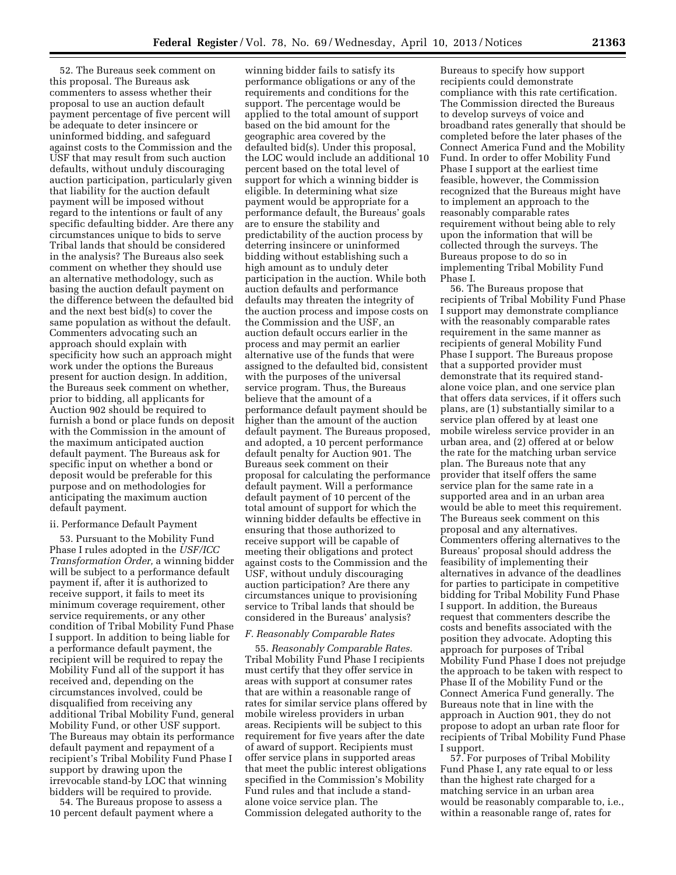52. The Bureaus seek comment on this proposal. The Bureaus ask commenters to assess whether their proposal to use an auction default payment percentage of five percent will be adequate to deter insincere or uninformed bidding, and safeguard against costs to the Commission and the USF that may result from such auction defaults, without unduly discouraging auction participation, particularly given that liability for the auction default payment will be imposed without regard to the intentions or fault of any specific defaulting bidder. Are there any circumstances unique to bids to serve Tribal lands that should be considered in the analysis? The Bureaus also seek comment on whether they should use an alternative methodology, such as basing the auction default payment on the difference between the defaulted bid and the next best bid(s) to cover the same population as without the default. Commenters advocating such an approach should explain with specificity how such an approach might work under the options the Bureaus present for auction design. In addition, the Bureaus seek comment on whether, prior to bidding, all applicants for Auction 902 should be required to furnish a bond or place funds on deposit with the Commission in the amount of the maximum anticipated auction default payment. The Bureaus ask for specific input on whether a bond or deposit would be preferable for this purpose and on methodologies for anticipating the maximum auction default payment.

#### ii. Performance Default Payment

53. Pursuant to the Mobility Fund Phase I rules adopted in the *USF/ICC Transformation Order,* a winning bidder will be subject to a performance default payment if, after it is authorized to receive support, it fails to meet its minimum coverage requirement, other service requirements, or any other condition of Tribal Mobility Fund Phase I support. In addition to being liable for a performance default payment, the recipient will be required to repay the Mobility Fund all of the support it has received and, depending on the circumstances involved, could be disqualified from receiving any additional Tribal Mobility Fund, general Mobility Fund, or other USF support. The Bureaus may obtain its performance default payment and repayment of a recipient's Tribal Mobility Fund Phase I support by drawing upon the irrevocable stand-by LOC that winning bidders will be required to provide.

54. The Bureaus propose to assess a 10 percent default payment where a

winning bidder fails to satisfy its performance obligations or any of the requirements and conditions for the support. The percentage would be applied to the total amount of support based on the bid amount for the geographic area covered by the defaulted bid(s). Under this proposal, the LOC would include an additional 10 percent based on the total level of support for which a winning bidder is eligible. In determining what size payment would be appropriate for a performance default, the Bureaus' goals are to ensure the stability and predictability of the auction process by deterring insincere or uninformed bidding without establishing such a high amount as to unduly deter participation in the auction. While both auction defaults and performance defaults may threaten the integrity of the auction process and impose costs on the Commission and the USF, an auction default occurs earlier in the process and may permit an earlier alternative use of the funds that were assigned to the defaulted bid, consistent with the purposes of the universal service program. Thus, the Bureaus believe that the amount of a performance default payment should be higher than the amount of the auction default payment. The Bureaus proposed, and adopted, a 10 percent performance default penalty for Auction 901. The Bureaus seek comment on their proposal for calculating the performance default payment. Will a performance default payment of 10 percent of the total amount of support for which the winning bidder defaults be effective in ensuring that those authorized to receive support will be capable of meeting their obligations and protect against costs to the Commission and the USF, without unduly discouraging auction participation? Are there any circumstances unique to provisioning service to Tribal lands that should be considered in the Bureaus' analysis?

#### *F. Reasonably Comparable Rates*

55. *Reasonably Comparable Rates.*  Tribal Mobility Fund Phase I recipients must certify that they offer service in areas with support at consumer rates that are within a reasonable range of rates for similar service plans offered by mobile wireless providers in urban areas. Recipients will be subject to this requirement for five years after the date of award of support. Recipients must offer service plans in supported areas that meet the public interest obligations specified in the Commission's Mobility Fund rules and that include a standalone voice service plan. The Commission delegated authority to the

Bureaus to specify how support recipients could demonstrate compliance with this rate certification. The Commission directed the Bureaus to develop surveys of voice and broadband rates generally that should be completed before the later phases of the Connect America Fund and the Mobility Fund. In order to offer Mobility Fund Phase I support at the earliest time feasible, however, the Commission recognized that the Bureaus might have to implement an approach to the reasonably comparable rates requirement without being able to rely upon the information that will be collected through the surveys. The Bureaus propose to do so in implementing Tribal Mobility Fund Phase I.

56. The Bureaus propose that recipients of Tribal Mobility Fund Phase I support may demonstrate compliance with the reasonably comparable rates requirement in the same manner as recipients of general Mobility Fund Phase I support. The Bureaus propose that a supported provider must demonstrate that its required standalone voice plan, and one service plan that offers data services, if it offers such plans, are (1) substantially similar to a service plan offered by at least one mobile wireless service provider in an urban area, and (2) offered at or below the rate for the matching urban service plan. The Bureaus note that any provider that itself offers the same service plan for the same rate in a supported area and in an urban area would be able to meet this requirement. The Bureaus seek comment on this proposal and any alternatives. Commenters offering alternatives to the Bureaus' proposal should address the feasibility of implementing their alternatives in advance of the deadlines for parties to participate in competitive bidding for Tribal Mobility Fund Phase I support. In addition, the Bureaus request that commenters describe the costs and benefits associated with the position they advocate. Adopting this approach for purposes of Tribal Mobility Fund Phase I does not prejudge the approach to be taken with respect to Phase II of the Mobility Fund or the Connect America Fund generally. The Bureaus note that in line with the approach in Auction 901, they do not propose to adopt an urban rate floor for recipients of Tribal Mobility Fund Phase I support.

57. For purposes of Tribal Mobility Fund Phase I, any rate equal to or less than the highest rate charged for a matching service in an urban area would be reasonably comparable to, i.e., within a reasonable range of, rates for